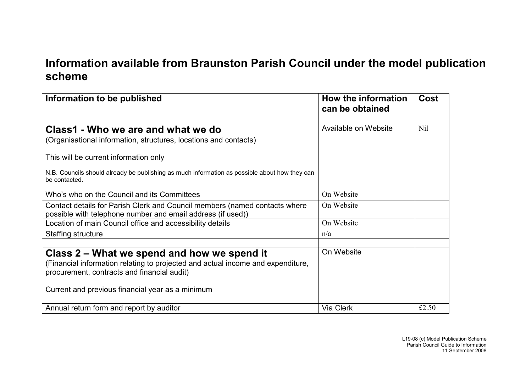## **Information available from Braunston Parish Council under the model publication scheme**

| Information to be published                                                                                                                                                                                                       | How the information<br>can be obtained | Cost  |
|-----------------------------------------------------------------------------------------------------------------------------------------------------------------------------------------------------------------------------------|----------------------------------------|-------|
| Class1 - Who we are and what we do<br>(Organisational information, structures, locations and contacts)                                                                                                                            | Available on Website                   | Nil   |
| This will be current information only<br>N.B. Councils should already be publishing as much information as possible about how they can<br>be contacted.                                                                           |                                        |       |
| Who's who on the Council and its Committees                                                                                                                                                                                       | On Website                             |       |
| Contact details for Parish Clerk and Council members (named contacts where<br>possible with telephone number and email address (if used))                                                                                         | On Website                             |       |
| Location of main Council office and accessibility details                                                                                                                                                                         | On Website                             |       |
| Staffing structure                                                                                                                                                                                                                | n/a                                    |       |
| Class 2 – What we spend and how we spend it<br>(Financial information relating to projected and actual income and expenditure,<br>procurement, contracts and financial audit)<br>Current and previous financial year as a minimum | On Website                             |       |
| Annual return form and report by auditor                                                                                                                                                                                          | <b>Via Clerk</b>                       | £2.50 |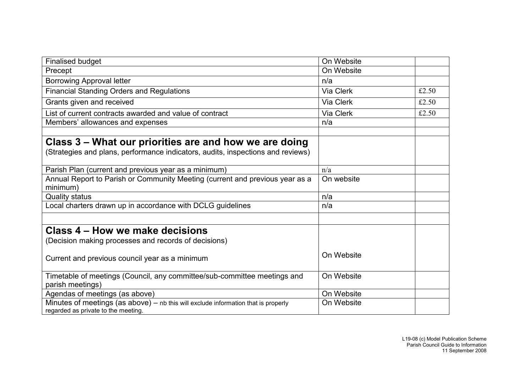| <b>Finalised budget</b>                                                                                                     | On Website |       |
|-----------------------------------------------------------------------------------------------------------------------------|------------|-------|
| Precept                                                                                                                     | On Website |       |
| <b>Borrowing Approval letter</b>                                                                                            | n/a        |       |
| <b>Financial Standing Orders and Regulations</b>                                                                            | Via Clerk  | £2.50 |
| Grants given and received                                                                                                   | Via Clerk  | £2.50 |
| List of current contracts awarded and value of contract                                                                     | Via Clerk  | £2.50 |
| Members' allowances and expenses                                                                                            | n/a        |       |
|                                                                                                                             |            |       |
| Class 3 – What our priorities are and how we are doing                                                                      |            |       |
| (Strategies and plans, performance indicators, audits, inspections and reviews)                                             |            |       |
| Parish Plan (current and previous year as a minimum)                                                                        | n/a        |       |
| Annual Report to Parish or Community Meeting (current and previous year as a                                                | On website |       |
| minimum)                                                                                                                    |            |       |
| <b>Quality status</b>                                                                                                       | n/a        |       |
| Local charters drawn up in accordance with DCLG guidelines                                                                  | n/a        |       |
|                                                                                                                             |            |       |
| Class 4 – How we make decisions                                                                                             |            |       |
| (Decision making processes and records of decisions)                                                                        |            |       |
| Current and previous council year as a minimum                                                                              | On Website |       |
| Timetable of meetings (Council, any committee/sub-committee meetings and<br>parish meetings)                                | On Website |       |
| Agendas of meetings (as above)                                                                                              | On Website |       |
| Minutes of meetings (as above) $-$ nb this will exclude information that is properly<br>regarded as private to the meeting. | On Website |       |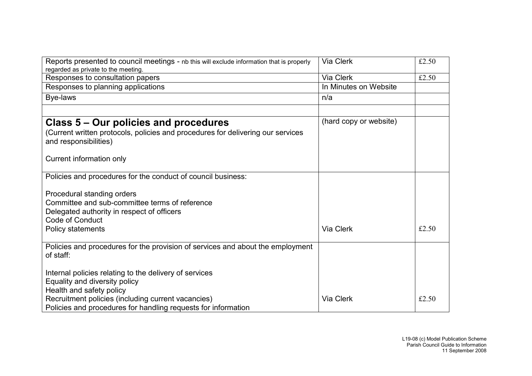| Reports presented to council meetings - nb this will exclude information that is properly<br>regarded as private to the meeting. | Via Clerk              | £2.50 |
|----------------------------------------------------------------------------------------------------------------------------------|------------------------|-------|
| Responses to consultation papers                                                                                                 | Via Clerk              | £2.50 |
| Responses to planning applications                                                                                               | In Minutes on Website  |       |
| Bye-laws                                                                                                                         | n/a                    |       |
|                                                                                                                                  |                        |       |
| Class 5 – Our policies and procedures                                                                                            | (hard copy or website) |       |
| (Current written protocols, policies and procedures for delivering our services<br>and responsibilities)                         |                        |       |
| Current information only                                                                                                         |                        |       |
| Policies and procedures for the conduct of council business:                                                                     |                        |       |
| Procedural standing orders                                                                                                       |                        |       |
| Committee and sub-committee terms of reference                                                                                   |                        |       |
| Delegated authority in respect of officers                                                                                       |                        |       |
| <b>Code of Conduct</b>                                                                                                           |                        |       |
| Policy statements                                                                                                                | Via Clerk              | £2.50 |
| Policies and procedures for the provision of services and about the employment<br>of staff:                                      |                        |       |
| Internal policies relating to the delivery of services                                                                           |                        |       |
| Equality and diversity policy                                                                                                    |                        |       |
| Health and safety policy                                                                                                         |                        |       |
| Recruitment policies (including current vacancies)                                                                               | Via Clerk              | £2.50 |
| Policies and procedures for handling requests for information                                                                    |                        |       |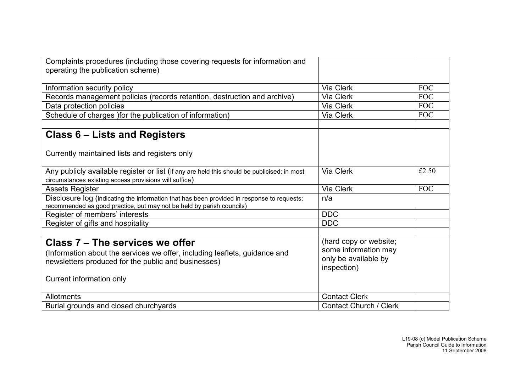| Complaints procedures (including those covering requests for information and                                                                                        |                               |            |
|---------------------------------------------------------------------------------------------------------------------------------------------------------------------|-------------------------------|------------|
| operating the publication scheme)                                                                                                                                   |                               |            |
|                                                                                                                                                                     |                               |            |
| Information security policy                                                                                                                                         | Via Clerk                     | <b>FOC</b> |
| Records management policies (records retention, destruction and archive)                                                                                            | Via Clerk                     | <b>FOC</b> |
| Data protection policies                                                                                                                                            | Via Clerk                     | <b>FOC</b> |
| Schedule of charges ) for the publication of information)                                                                                                           | Via Clerk                     | <b>FOC</b> |
|                                                                                                                                                                     |                               |            |
| <b>Class 6 – Lists and Registers</b>                                                                                                                                |                               |            |
| Currently maintained lists and registers only                                                                                                                       |                               |            |
| Any publicly available register or list (if any are held this should be publicised; in most<br>circumstances existing access provisions will suffice)               | Via Clerk                     | £2.50      |
| <b>Assets Register</b>                                                                                                                                              | Via Clerk                     | <b>FOC</b> |
| Disclosure log (indicating the information that has been provided in response to requests;<br>recommended as good practice, but may not be held by parish councils) | n/a                           |            |
| Register of members' interests                                                                                                                                      | <b>DDC</b>                    |            |
| Register of gifts and hospitality                                                                                                                                   | <b>DDC</b>                    |            |
|                                                                                                                                                                     |                               |            |
| Class 7 - The services we offer                                                                                                                                     | (hard copy or website;        |            |
| (Information about the services we offer, including leaflets, guidance and                                                                                          | some information may          |            |
| newsletters produced for the public and businesses)                                                                                                                 | only be available by          |            |
|                                                                                                                                                                     | inspection)                   |            |
| Current information only                                                                                                                                            |                               |            |
|                                                                                                                                                                     |                               |            |
| Allotments                                                                                                                                                          | <b>Contact Clerk</b>          |            |
| Burial grounds and closed churchyards                                                                                                                               | <b>Contact Church / Clerk</b> |            |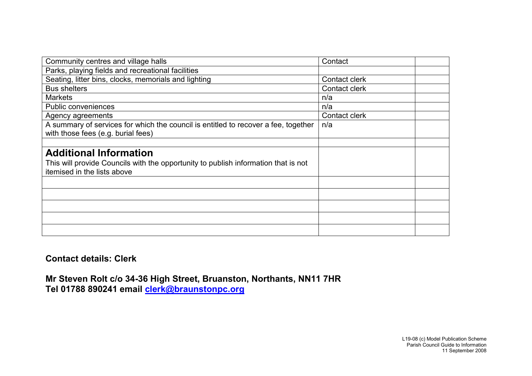| Community centres and village halls                                                | Contact       |  |
|------------------------------------------------------------------------------------|---------------|--|
| Parks, playing fields and recreational facilities                                  |               |  |
| Seating, litter bins, clocks, memorials and lighting                               | Contact clerk |  |
| <b>Bus shelters</b>                                                                | Contact clerk |  |
| <b>Markets</b>                                                                     | n/a           |  |
| Public conveniences                                                                | n/a           |  |
| Agency agreements                                                                  | Contact clerk |  |
| A summary of services for which the council is entitled to recover a fee, together | n/a           |  |
| with those fees (e.g. burial fees)                                                 |               |  |
|                                                                                    |               |  |
| <b>Additional Information</b>                                                      |               |  |
| This will provide Councils with the opportunity to publish information that is not |               |  |
| itemised in the lists above                                                        |               |  |
|                                                                                    |               |  |
|                                                                                    |               |  |
|                                                                                    |               |  |
|                                                                                    |               |  |
|                                                                                    |               |  |

## **Contact details: Clerk**

**Mr Steven Rolt c/o 34-36 High Street, Bruanston, Northants, NN11 7HR Tel 01788 890241 email [clerk@braunstonpc.org](mailto:clerk@braunstonpc.org)**